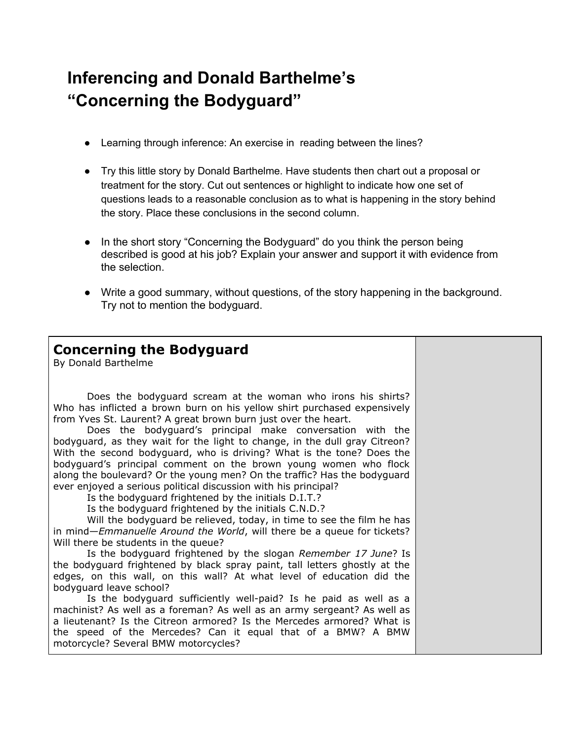## **Inferencing and Donald Barthelme's "Concerning the Bodyguard"**

- Learning through inference: An exercise in reading between the lines?
- Try this little story by Donald Barthelme. Have students then chart out a proposal or treatment for the story. Cut out sentences or highlight to indicate how one set of questions leads to a reasonable conclusion as to what is happening in the story behind the story. Place these conclusions in the second column.
- In the short story "Concerning the Bodyguard" do you think the person being described is good at his job? Explain your answer and support it with evidence from the selection.
- Write a good summary, without questions, of the story happening in the background. Try not to mention the bodyguard.

| <b>Concerning the Bodyguard</b><br>By Donald Barthelme                                                                                                                                                                                                                                                                                                                                                                                                                                                                                                                                                                                                                                                                                                                                                                                                                                                                                                                                                                                                                                                                                                                                                                                                                                                                                                                                                                                                                                                                                            |  |
|---------------------------------------------------------------------------------------------------------------------------------------------------------------------------------------------------------------------------------------------------------------------------------------------------------------------------------------------------------------------------------------------------------------------------------------------------------------------------------------------------------------------------------------------------------------------------------------------------------------------------------------------------------------------------------------------------------------------------------------------------------------------------------------------------------------------------------------------------------------------------------------------------------------------------------------------------------------------------------------------------------------------------------------------------------------------------------------------------------------------------------------------------------------------------------------------------------------------------------------------------------------------------------------------------------------------------------------------------------------------------------------------------------------------------------------------------------------------------------------------------------------------------------------------------|--|
| Does the bodyguard scream at the woman who irons his shirts?<br>Who has inflicted a brown burn on his yellow shirt purchased expensively<br>from Yves St. Laurent? A great brown burn just over the heart.<br>Does the bodyguard's principal make conversation with the<br>bodyguard, as they wait for the light to change, in the dull gray Citreon?<br>With the second bodyguard, who is driving? What is the tone? Does the<br>bodyguard's principal comment on the brown young women who flock<br>along the boulevard? Or the young men? On the traffic? Has the bodyguard<br>ever enjoyed a serious political discussion with his principal?<br>Is the bodyguard frightened by the initials D.I.T.?<br>Is the bodyguard frightened by the initials C.N.D.?<br>Will the bodyguard be relieved, today, in time to see the film he has<br>in mind-Emmanuelle Around the World, will there be a queue for tickets?<br>Will there be students in the queue?<br>Is the bodyguard frightened by the slogan Remember 17 June? Is<br>the bodyguard frightened by black spray paint, tall letters ghostly at the<br>edges, on this wall, on this wall? At what level of education did the<br>bodyguard leave school?<br>Is the bodyguard sufficiently well-paid? Is he paid as well as a<br>machinist? As well as a foreman? As well as an army sergeant? As well as<br>a lieutenant? Is the Citreon armored? Is the Mercedes armored? What is<br>the speed of the Mercedes? Can it equal that of a BMW? A BMW<br>motorcycle? Several BMW motorcycles? |  |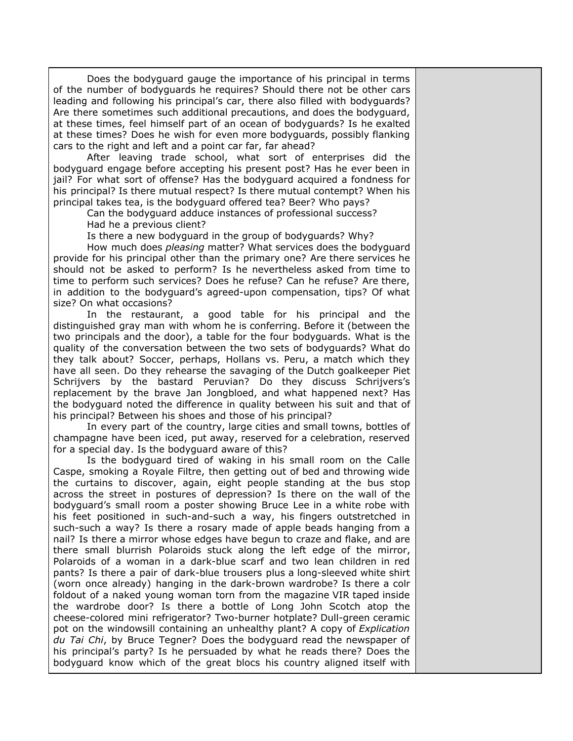Does the bodyguard gauge the importance of his principal in terms of the number of bodyguards he requires? Should there not be other cars leading and following his principal's car, there also filled with bodyguards? Are there sometimes such additional precautions, and does the bodyguard, at these times, feel himself part of an ocean of bodyguards? Is he exalted at these times? Does he wish for even more bodyguards, possibly flanking cars to the right and left and a point car far, far ahead?

After leaving trade school, what sort of enterprises did the bodyguard engage before accepting his present post? Has he ever been in jail? For what sort of offense? Has the bodyguard acquired a fondness for his principal? Is there mutual respect? Is there mutual contempt? When his principal takes tea, is the bodyguard offered tea? Beer? Who pays?

Can the bodyguard adduce instances of professional success?

Had he a previous client?

Is there a new bodyguard in the group of bodyguards? Why?

How much does *pleasing* matter? What services does the bodyguard provide for his principal other than the primary one? Are there services he should not be asked to perform? Is he nevertheless asked from time to time to perform such services? Does he refuse? Can he refuse? Are there, in addition to the bodyguard's agreed-upon compensation, tips? Of what size? On what occasions?

In the restaurant, a good table for his principal and the distinguished gray man with whom he is conferring. Before it (between the two principals and the door), a table for the four bodyguards. What is the quality of the conversation between the two sets of bodyguards? What do they talk about? Soccer, perhaps, Hollans vs. Peru, a match which they have all seen. Do they rehearse the savaging of the Dutch goalkeeper Piet Schrijvers by the bastard Peruvian? Do they discuss Schrijvers's replacement by the brave Jan Jongbloed, and what happened next? Has the bodyguard noted the difference in quality between his suit and that of his principal? Between his shoes and those of his principal?

In every part of the country, large cities and small towns, bottles of champagne have been iced, put away, reserved for a celebration, reserved for a special day. Is the bodyguard aware of this?

Is the bodyguard tired of waking in his small room on the Calle Caspe, smoking a Royale Filtre, then getting out of bed and throwing wide the curtains to discover, again, eight people standing at the bus stop across the street in postures of depression? Is there on the wall of the bodyguard's small room a poster showing Bruce Lee in a white robe with his feet positioned in such-and-such a way, his fingers outstretched in such-such a way? Is there a rosary made of apple beads hanging from a nail? Is there a mirror whose edges have begun to craze and flake, and are there small blurrish Polaroids stuck along the left edge of the mirror, Polaroids of a woman in a dark-blue scarf and two lean children in red pants? Is there a pair of dark-blue trousers plus a long-sleeved white shirt (worn once already) hanging in the dark-brown wardrobe? Is there a colr foldout of a naked young woman torn from the magazine VIR taped inside the wardrobe door? Is there a bottle of Long John Scotch atop the cheese-colored mini refrigerator? Two-burner hotplate? Dull-green ceramic pot on the windowsill containing an unhealthy plant? A copy of *Explication du Tai Chi*, by Bruce Tegner? Does the bodyguard read the newspaper of his principal's party? Is he persuaded by what he reads there? Does the bodyguard know which of the great blocs his country aligned itself with